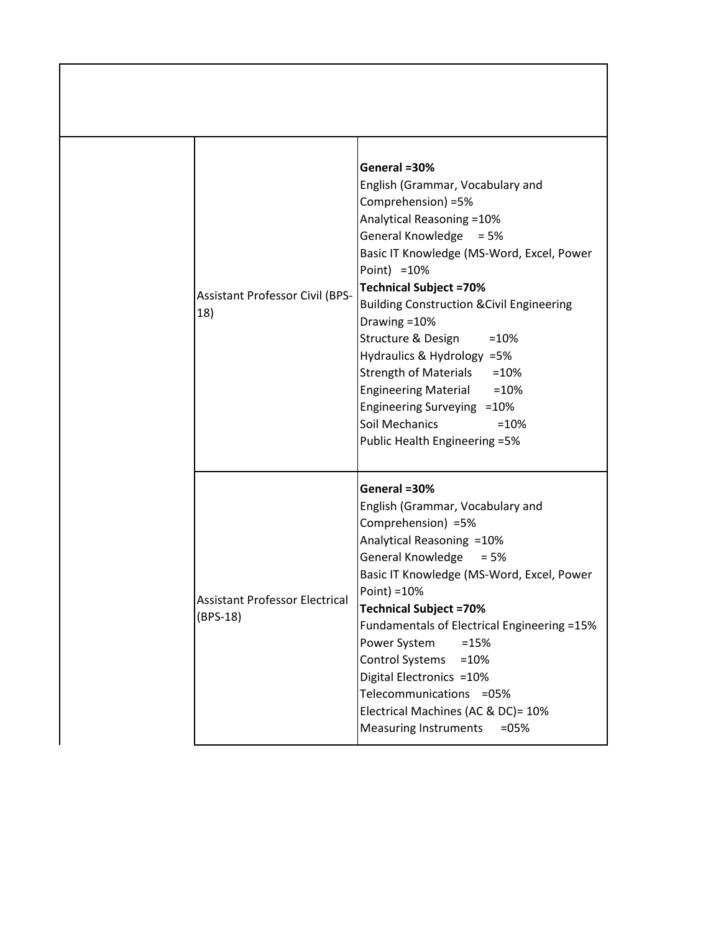| <b>Assistant Professor Civil (BPS-</b><br>18)       | General =30%<br>English (Grammar, Vocabulary and<br>Comprehension) =5%<br>Analytical Reasoning = 10%<br>General Knowledge = 5%<br>Basic IT Knowledge (MS-Word, Excel, Power<br>Point) = 10%<br><b>Technical Subject =70%</b><br><b>Building Construction &amp; Civil Engineering</b><br>Drawing = 10%<br>Structure & Design<br>$=10%$<br>Hydraulics & Hydrology =5%<br>Strength of Materials = 10%<br>Engineering Material = 10%<br>Engineering Surveying = 10%<br>Soil Mechanics<br>$=10%$<br>Public Health Engineering = 5% |
|-----------------------------------------------------|-------------------------------------------------------------------------------------------------------------------------------------------------------------------------------------------------------------------------------------------------------------------------------------------------------------------------------------------------------------------------------------------------------------------------------------------------------------------------------------------------------------------------------|
| <b>Assistant Professor Electrical</b><br>$(BPS-18)$ | General =30%<br>English (Grammar, Vocabulary and<br>Comprehension) =5%<br>Analytical Reasoning = 10%<br>General Knowledge = 5%<br>Basic IT Knowledge (MS-Word, Excel, Power<br>Point) = 10%<br><b>Technical Subject =70%</b><br>Fundamentals of Electrical Engineering =15%<br>Power System<br>$=15%$<br>Control Systems = 10%<br>Digital Electronics = 10%<br>Telecommunications =05%<br>Electrical Machines (AC & DC)= 10%<br><b>Measuring Instruments</b><br>$=05%$                                                        |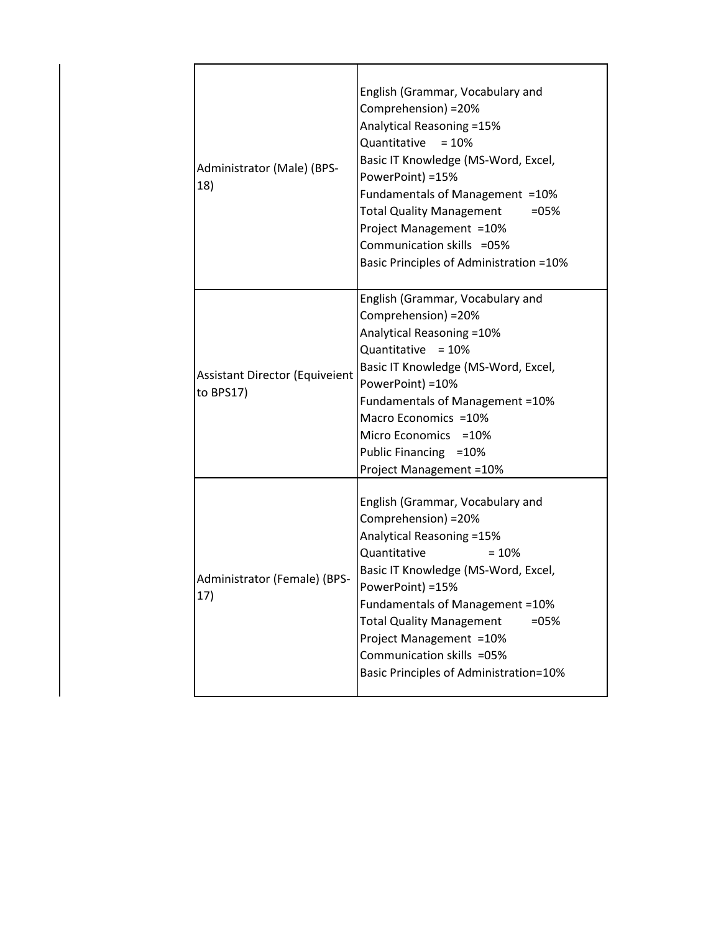| Administrator (Male) (BPS-<br>18)                  | English (Grammar, Vocabulary and<br>Comprehension) = 20%<br>Analytical Reasoning =15%<br>Quantitative<br>$= 10%$<br>Basic IT Knowledge (MS-Word, Excel,<br>PowerPoint) =15%<br>Fundamentals of Management = 10%<br>Total Quality Management<br>$= 05%$<br>Project Management = 10%<br>Communication skills =05%<br>Basic Principles of Administration = 10%     |
|----------------------------------------------------|-----------------------------------------------------------------------------------------------------------------------------------------------------------------------------------------------------------------------------------------------------------------------------------------------------------------------------------------------------------------|
| <b>Assistant Director (Equiveient</b><br>to BPS17) | English (Grammar, Vocabulary and<br>Comprehension) = 20%<br>Analytical Reasoning = 10%<br>Quantitative<br>$= 10%$<br>Basic IT Knowledge (MS-Word, Excel,<br>PowerPoint) = 10%<br>Fundamentals of Management = 10%<br>Macro Economics = 10%<br>Micro Economics = 10%<br>Public Financing = 10%<br><b>Project Management =10%</b>                                 |
| Administrator (Female) (BPS-<br>17)                | English (Grammar, Vocabulary and<br>Comprehension) = 20%<br>Analytical Reasoning = 15%<br>Quantitative<br>$=10%$<br>Basic IT Knowledge (MS-Word, Excel,<br>PowerPoint) =15%<br>Fundamentals of Management = 10%<br><b>Total Quality Management</b><br>$=05%$<br>Project Management = 10%<br>Communication skills =05%<br>Basic Principles of Administration=10% |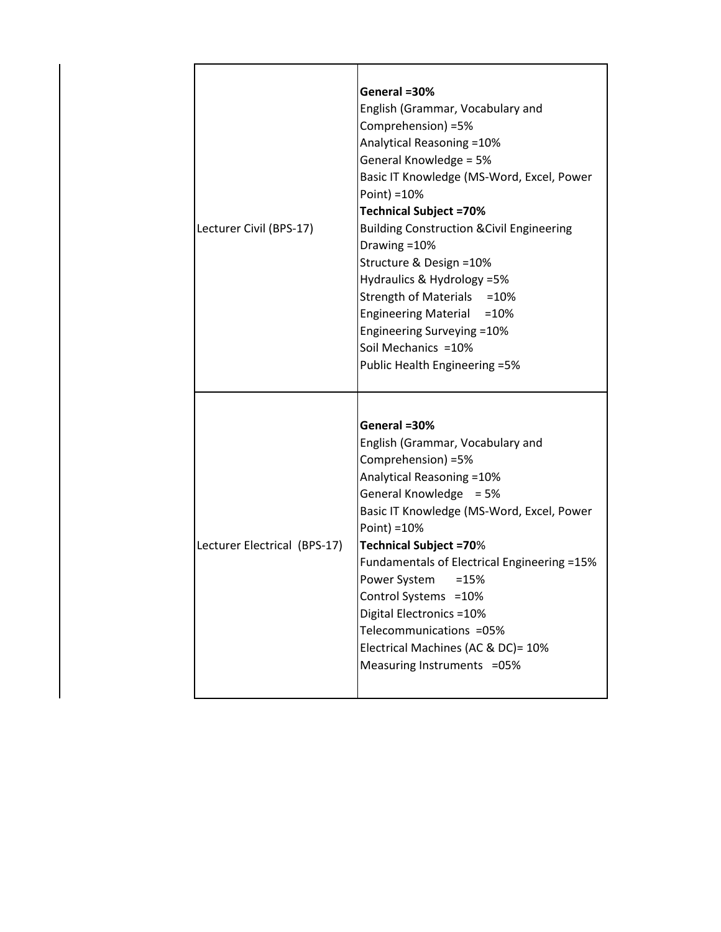| Lecturer Civil (BPS-17)      | General =30%<br>English (Grammar, Vocabulary and<br>Comprehension) =5%<br>Analytical Reasoning = 10%<br>General Knowledge = 5%<br>Basic IT Knowledge (MS-Word, Excel, Power<br>Point) = $10%$<br><b>Technical Subject =70%</b><br><b>Building Construction &amp; Civil Engineering</b><br>Drawing = 10%<br>Structure & Design =10%<br>Hydraulics & Hydrology =5%<br>Strength of Materials = 10%                                                            |
|------------------------------|------------------------------------------------------------------------------------------------------------------------------------------------------------------------------------------------------------------------------------------------------------------------------------------------------------------------------------------------------------------------------------------------------------------------------------------------------------|
|                              | Engineering Material = 10%<br>Engineering Surveying = 10%<br>Soil Mechanics = 10%<br>Public Health Engineering = 5%                                                                                                                                                                                                                                                                                                                                        |
| Lecturer Electrical (BPS-17) | General =30%<br>English (Grammar, Vocabulary and<br>Comprehension) =5%<br>Analytical Reasoning = 10%<br>General Knowledge = 5%<br>Basic IT Knowledge (MS-Word, Excel, Power<br>Point) = 10%<br><b>Technical Subject =70%</b><br>Fundamentals of Electrical Engineering =15%<br>Power System<br>$=15%$<br>Control Systems = 10%<br>Digital Electronics = 10%<br>Telecommunications =05%<br>Electrical Machines (AC & DC)= 10%<br>Measuring Instruments =05% |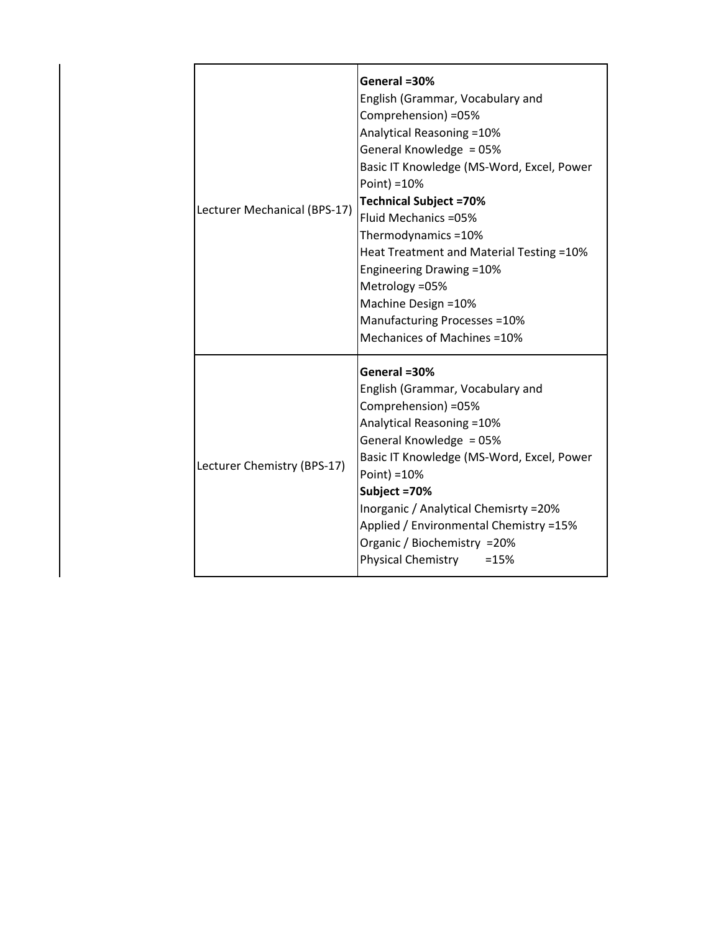| Lecturer Mechanical (BPS-17) | General =30%<br>English (Grammar, Vocabulary and<br>Comprehension) =05%<br>Analytical Reasoning = 10%<br>General Knowledge = 05%<br>Basic IT Knowledge (MS-Word, Excel, Power<br>Point) = 10%<br><b>Technical Subject =70%</b><br>Fluid Mechanics = 05%<br>Thermodynamics =10%<br>Heat Treatment and Material Testing = 10%<br><b>Engineering Drawing =10%</b><br>Metrology = 05%<br>Machine Design = 10%<br>Manufacturing Processes = 10%<br>Mechanices of Machines = 10% |
|------------------------------|----------------------------------------------------------------------------------------------------------------------------------------------------------------------------------------------------------------------------------------------------------------------------------------------------------------------------------------------------------------------------------------------------------------------------------------------------------------------------|
| Lecturer Chemistry (BPS-17)  | General =30%<br>English (Grammar, Vocabulary and<br>Comprehension) =05%<br>Analytical Reasoning = 10%<br>General Knowledge = 05%<br>Basic IT Knowledge (MS-Word, Excel, Power<br>Point) = 10%<br>Subject =70%<br>Inorganic / Analytical Chemisrty = 20%<br>Applied / Environmental Chemistry =15%<br>Organic / Biochemistry = 20%<br><b>Physical Chemistry</b><br>$=15%$                                                                                                   |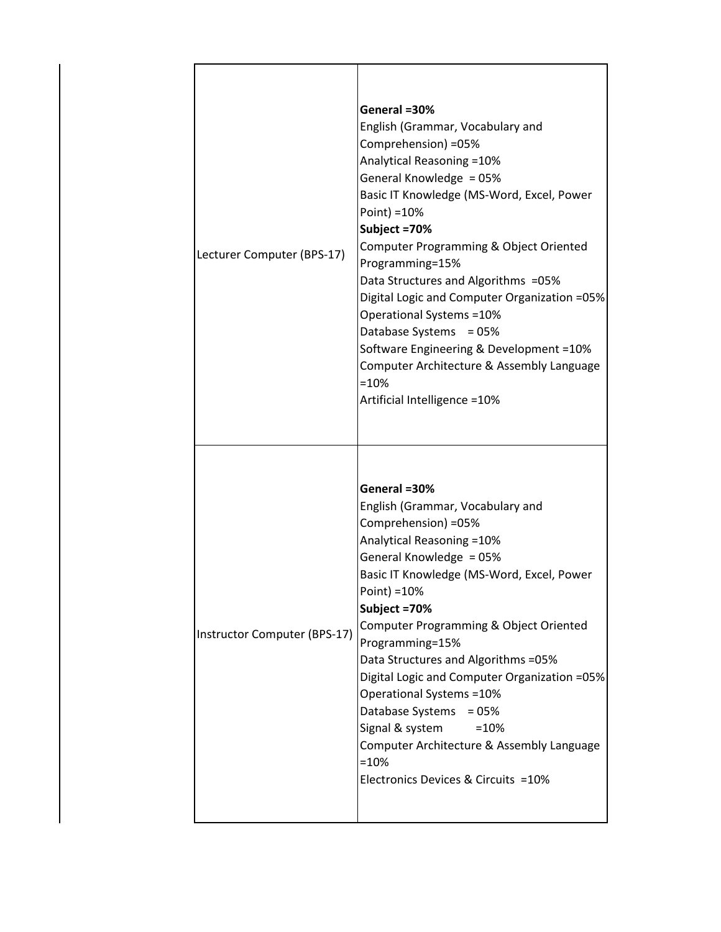| Lecturer Computer (BPS-17)   | General =30%<br>English (Grammar, Vocabulary and<br>Comprehension) =05%<br>Analytical Reasoning = 10%<br>General Knowledge = 05%<br>Basic IT Knowledge (MS-Word, Excel, Power<br>Point) = 10%<br>Subject =70%<br>Computer Programming & Object Oriented<br>Programming=15%<br>Data Structures and Algorithms = 05%<br>Digital Logic and Computer Organization =05%<br>Operational Systems = 10%<br>Database Systems<br>$= 05%$<br>Software Engineering & Development = 10%<br>Computer Architecture & Assembly Language<br>$=10%$<br>Artificial Intelligence = 10% |
|------------------------------|--------------------------------------------------------------------------------------------------------------------------------------------------------------------------------------------------------------------------------------------------------------------------------------------------------------------------------------------------------------------------------------------------------------------------------------------------------------------------------------------------------------------------------------------------------------------|
| Instructor Computer (BPS-17) | General =30%<br>English (Grammar, Vocabulary and<br>Comprehension) =05%<br>Analytical Reasoning = 10%<br>General Knowledge = 05%<br>Basic IT Knowledge (MS-Word, Excel, Power<br>Point) = 10%<br>Subject = 70%<br>Computer Programming & Object Oriented<br>Programming=15%<br>Data Structures and Algorithms = 05%<br>Digital Logic and Computer Organization =05%<br>Operational Systems = 10%<br>Database Systems<br>$= 05%$<br>Signal & system<br>$=10%$<br>Computer Architecture & Assembly Language<br>$=10%$<br>Electronics Devices & Circuits =10%         |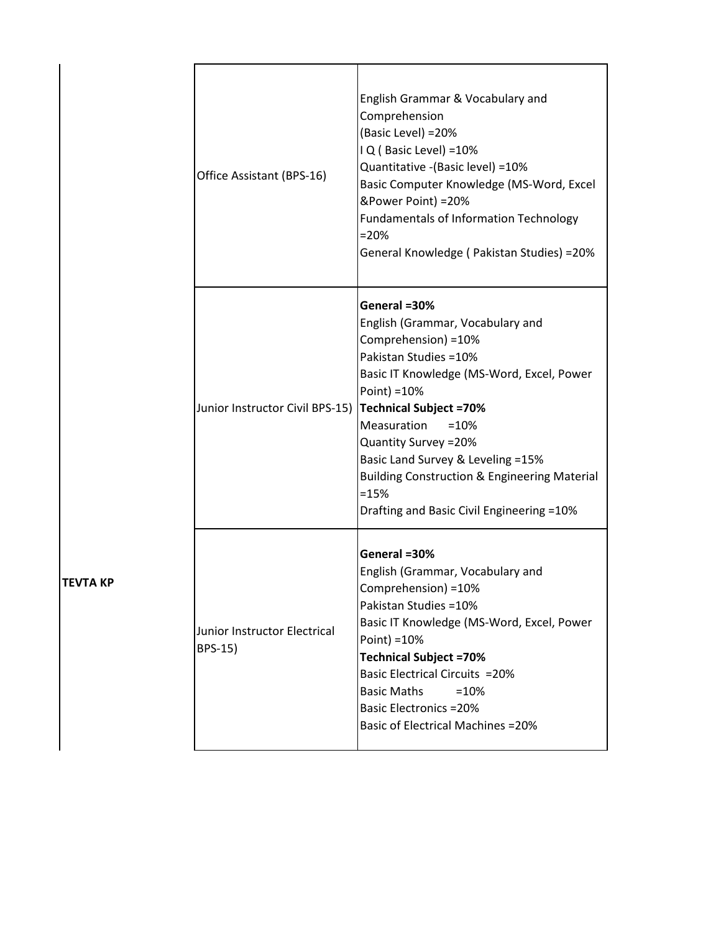| Office Assistant (BPS-16)               | English Grammar & Vocabulary and<br>Comprehension<br>(Basic Level) = 20%<br>IQ (Basic Level) = 10%<br>Quantitative - (Basic level) = 10%<br>Basic Computer Knowledge (MS-Word, Excel<br>&Power Point) = 20%<br><b>Fundamentals of Information Technology</b><br>$=20%$<br>General Knowledge (Pakistan Studies) = 20%                                                                                      |
|-----------------------------------------|-----------------------------------------------------------------------------------------------------------------------------------------------------------------------------------------------------------------------------------------------------------------------------------------------------------------------------------------------------------------------------------------------------------|
| Junior Instructor Civil BPS-15)         | General =30%<br>English (Grammar, Vocabulary and<br>Comprehension) = 10%<br>Pakistan Studies = 10%<br>Basic IT Knowledge (MS-Word, Excel, Power<br>Point) = 10%<br><b>Technical Subject =70%</b><br>Measuration<br>$=10%$<br>Quantity Survey = 20%<br>Basic Land Survey & Leveling =15%<br><b>Building Construction &amp; Engineering Material</b><br>$=15%$<br>Drafting and Basic Civil Engineering =10% |
| Junior Instructor Electrical<br>BPS-15) | General =30%<br>English (Grammar, Vocabulary and<br>Comprehension) = 10%<br>Pakistan Studies = 10%<br>Basic IT Knowledge (MS-Word, Excel, Power<br>Point) = 10%<br><b>Technical Subject =70%</b><br><b>Basic Electrical Circuits = 20%</b><br><b>Basic Maths</b><br>$=10%$<br><b>Basic Electronics = 20%</b><br><b>Basic of Electrical Machines = 20%</b>                                                 |

**TEVTA KP**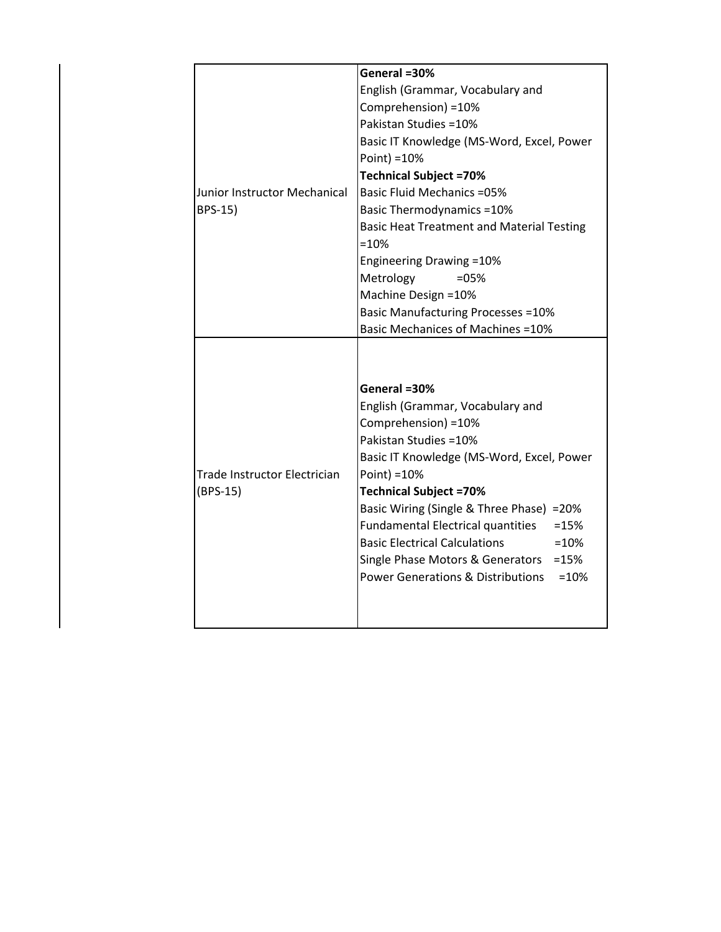|                              | General =30%                                           |
|------------------------------|--------------------------------------------------------|
|                              | English (Grammar, Vocabulary and                       |
|                              | Comprehension) = 10%                                   |
|                              | Pakistan Studies = 10%                                 |
|                              | Basic IT Knowledge (MS-Word, Excel, Power              |
|                              | Point) = 10%                                           |
|                              | <b>Technical Subject =70%</b>                          |
| Junior Instructor Mechanical | <b>Basic Fluid Mechanics = 05%</b>                     |
| BPS-15)                      | <b>Basic Thermodynamics =10%</b>                       |
|                              | <b>Basic Heat Treatment and Material Testing</b>       |
|                              | $=10%$                                                 |
|                              | <b>Engineering Drawing =10%</b>                        |
|                              | Metrology<br>$=05%$                                    |
|                              | Machine Design = 10%                                   |
|                              | <b>Basic Manufacturing Processes =10%</b>              |
|                              | <b>Basic Mechanices of Machines =10%</b>               |
|                              |                                                        |
|                              |                                                        |
|                              | General =30%                                           |
|                              | English (Grammar, Vocabulary and                       |
|                              | Comprehension) = 10%                                   |
|                              | Pakistan Studies = 10%                                 |
|                              | Basic IT Knowledge (MS-Word, Excel, Power              |
| Trade Instructor Electrician | Point) = 10%                                           |
| (BPS-15)                     | <b>Technical Subject =70%</b>                          |
|                              | Basic Wiring (Single & Three Phase) = 20%              |
|                              | Fundamental Electrical quantities<br>$=15%$            |
|                              | <b>Basic Electrical Calculations</b><br>$=10%$         |
|                              | Single Phase Motors & Generators<br>$=15%$             |
|                              | <b>Power Generations &amp; Distributions</b><br>$=10%$ |
|                              |                                                        |
|                              |                                                        |
|                              |                                                        |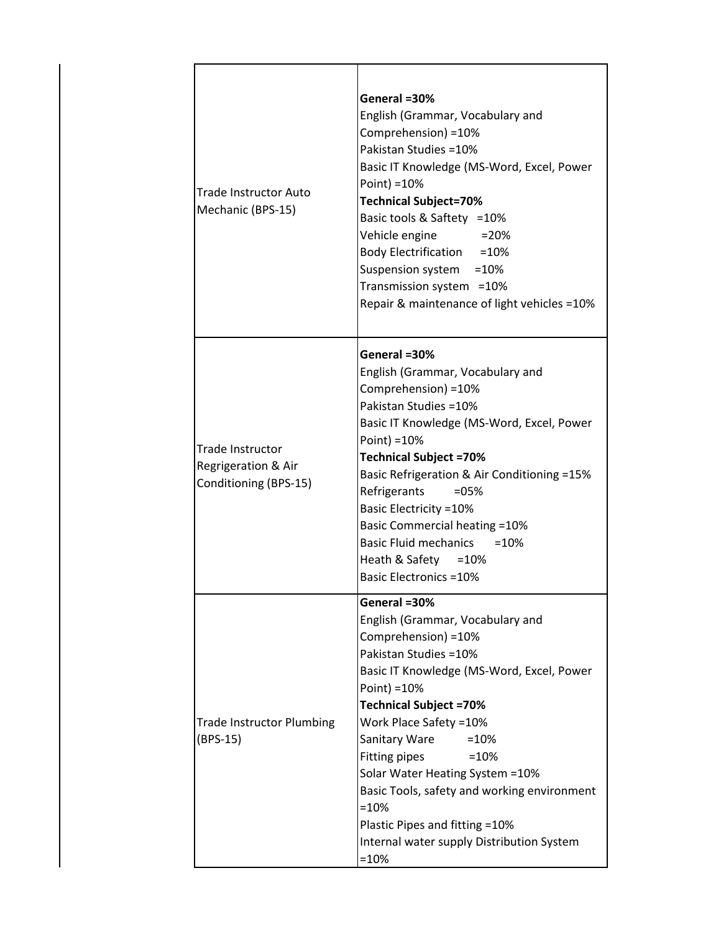| <b>Trade Instructor Auto</b><br>Mechanic (BPS-15)                       | General =30%<br>English (Grammar, Vocabulary and<br>Comprehension) = 10%<br>Pakistan Studies = 10%<br>Basic IT Knowledge (MS-Word, Excel, Power<br>Point) = 10%<br><b>Technical Subject=70%</b><br>Basic tools & Saftety = 10%<br>Vehicle engine<br>$=20%$<br>Body Electrification = 10%<br>Suspension system = 10%<br>Transmission system = 10%<br>Repair & maintenance of light vehicles = 10%                                                                         |
|-------------------------------------------------------------------------|--------------------------------------------------------------------------------------------------------------------------------------------------------------------------------------------------------------------------------------------------------------------------------------------------------------------------------------------------------------------------------------------------------------------------------------------------------------------------|
| <b>Trade Instructor</b><br>Regrigeration & Air<br>Conditioning (BPS-15) | General =30%<br>English (Grammar, Vocabulary and<br>Comprehension) = 10%<br>Pakistan Studies = 10%<br>Basic IT Knowledge (MS-Word, Excel, Power<br>Point) = 10%<br><b>Technical Subject =70%</b><br>Basic Refrigeration & Air Conditioning =15%<br>Refrigerants<br>$= 05\%$<br><b>Basic Electricity =10%</b><br><b>Basic Commercial heating =10%</b><br>Basic Fluid mechanics = 10%<br>Heath & Safety = 10%<br><b>Basic Electronics =10%</b>                             |
| <b>Trade Instructor Plumbing</b><br>$(BPS-15)$                          | General =30%<br>English (Grammar, Vocabulary and<br>Comprehension) = 10%<br>Pakistan Studies = 10%<br>Basic IT Knowledge (MS-Word, Excel, Power<br>Point) = 10%<br><b>Technical Subject =70%</b><br>Work Place Safety = 10%<br>Sanitary Ware<br>$=10%$<br>Fitting pipes<br>$=10%$<br>Solar Water Heating System = 10%<br>Basic Tools, safety and working environment<br>$=10%$<br>Plastic Pipes and fitting = 10%<br>Internal water supply Distribution System<br>$=10%$ |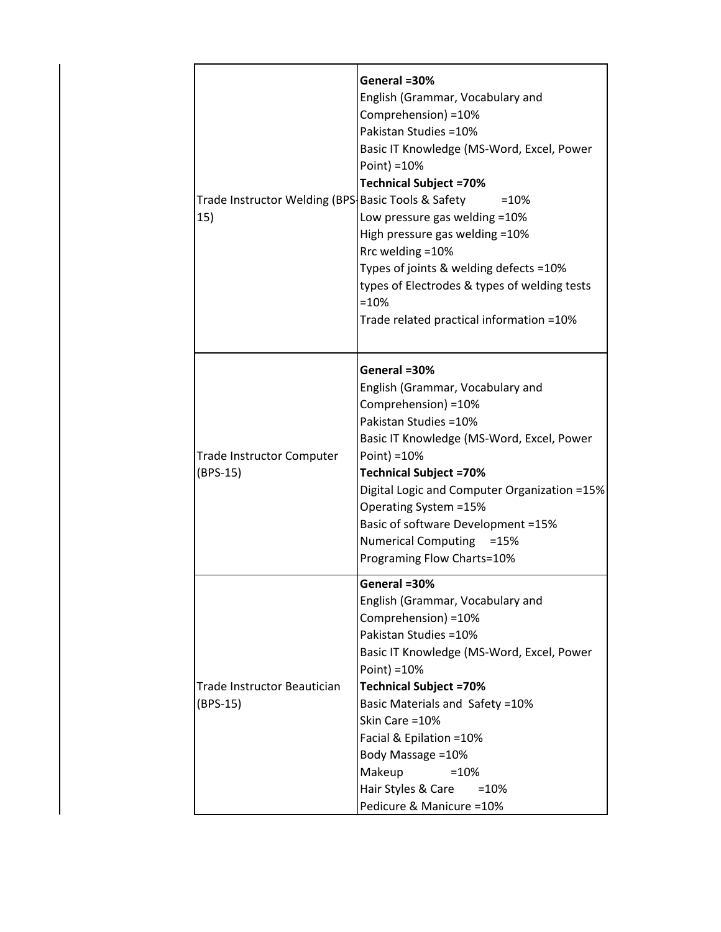| Trade Instructor Welding (BPS Basic Tools & Safety<br>15) | General =30%<br>English (Grammar, Vocabulary and<br>Comprehension) = 10%<br>Pakistan Studies = 10%<br>Basic IT Knowledge (MS-Word, Excel, Power<br>Point) $=10%$<br><b>Technical Subject =70%</b><br>$=10%$<br>Low pressure gas welding =10%<br>High pressure gas welding = 10%<br>Rrc welding = 10%<br>Types of joints & welding defects =10%<br>types of Electrodes & types of welding tests<br>$=10%$<br>Trade related practical information =10% |
|-----------------------------------------------------------|------------------------------------------------------------------------------------------------------------------------------------------------------------------------------------------------------------------------------------------------------------------------------------------------------------------------------------------------------------------------------------------------------------------------------------------------------|
| <b>Trade Instructor Computer</b><br>(BPS-15)              | General =30%<br>English (Grammar, Vocabulary and<br>Comprehension) = 10%<br>Pakistan Studies = 10%<br>Basic IT Knowledge (MS-Word, Excel, Power<br>Point) = 10%<br><b>Technical Subject =70%</b><br>Digital Logic and Computer Organization =15%<br>Operating System = 15%<br>Basic of software Development =15%<br>Numerical Computing =15%<br>Programing Flow Charts=10%                                                                           |
| <b>Trade Instructor Beautician</b><br>$(BPS-15)$          | General =30%<br>English (Grammar, Vocabulary and<br>Comprehension) = 10%<br>Pakistan Studies = 10%<br>Basic IT Knowledge (MS-Word, Excel, Power<br>Point) = $10%$<br><b>Technical Subject =70%</b><br>Basic Materials and Safety = 10%<br>Skin Care = 10%<br>Facial & Epilation = 10%<br>Body Massage = 10%<br>Makeup<br>$=10%$<br>Hair Styles & Care<br>$=10%$<br>Pedicure & Manicure = 10%                                                         |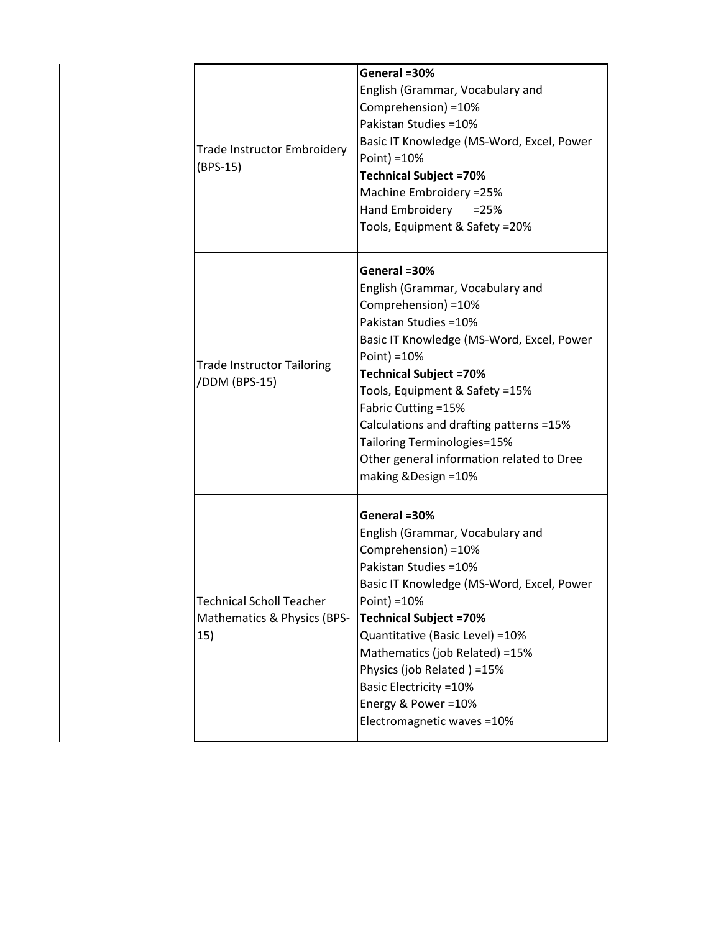| Trade Instructor Embroidery<br>$(BPS-15)$                             | General =30%<br>English (Grammar, Vocabulary and<br>Comprehension) = 10%<br>Pakistan Studies = 10%<br>Basic IT Knowledge (MS-Word, Excel, Power<br>Point) = 10%<br><b>Technical Subject =70%</b><br>Machine Embroidery = 25%<br>Hand Embroidery<br>$= 25%$<br>Tools, Equipment & Safety =20%                                                                                                                 |
|-----------------------------------------------------------------------|--------------------------------------------------------------------------------------------------------------------------------------------------------------------------------------------------------------------------------------------------------------------------------------------------------------------------------------------------------------------------------------------------------------|
| <b>Trade Instructor Tailoring</b><br>/DDM (BPS-15)                    | General =30%<br>English (Grammar, Vocabulary and<br>Comprehension) = 10%<br>Pakistan Studies = 10%<br>Basic IT Knowledge (MS-Word, Excel, Power<br>Point) = $10%$<br><b>Technical Subject =70%</b><br>Tools, Equipment & Safety =15%<br>Fabric Cutting = 15%<br>Calculations and drafting patterns =15%<br>Tailoring Terminologies=15%<br>Other general information related to Dree<br>making & Design = 10% |
| <b>Technical Scholl Teacher</b><br>Mathematics & Physics (BPS-<br>15) | General =30%<br>English (Grammar, Vocabulary and<br>Comprehension) = 10%<br>Pakistan Studies = 10%<br>Basic IT Knowledge (MS-Word, Excel, Power<br>Point) = $10%$<br><b>Technical Subject =70%</b><br>Quantitative (Basic Level) = 10%<br>Mathematics (job Related) = 15%<br>Physics (job Related) =15%<br><b>Basic Electricity =10%</b><br>Energy & Power = 10%<br>Electromagnetic waves = 10%              |